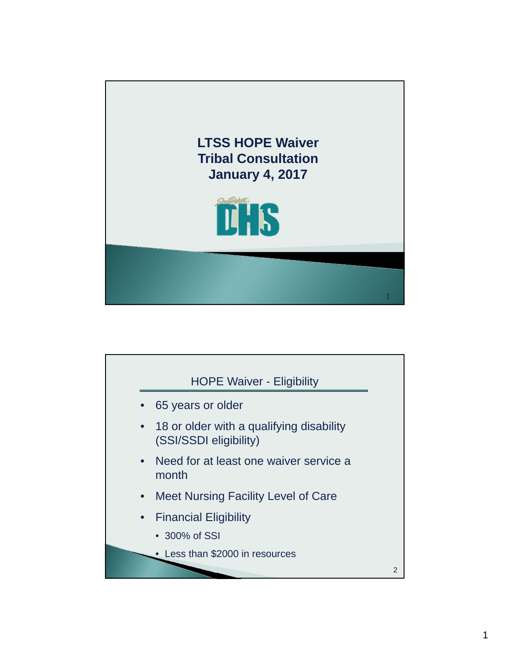

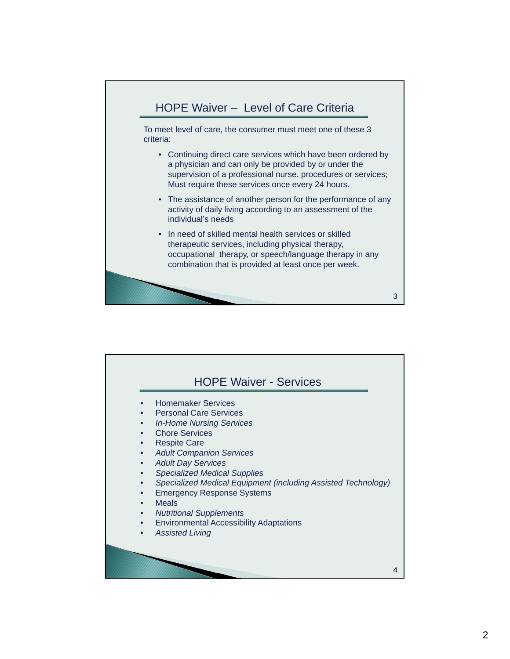

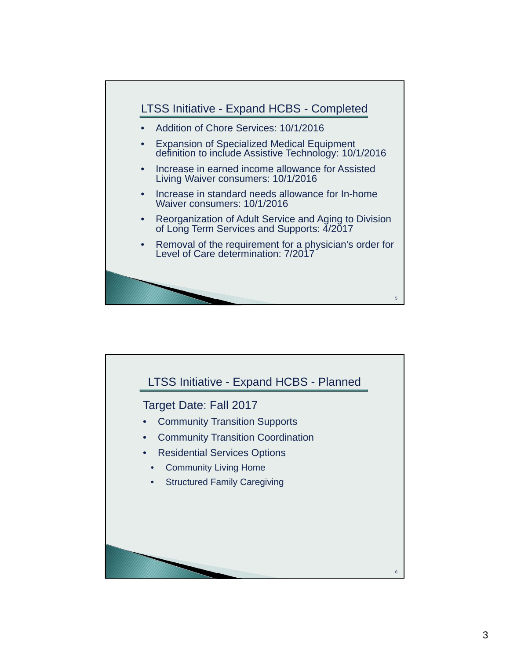

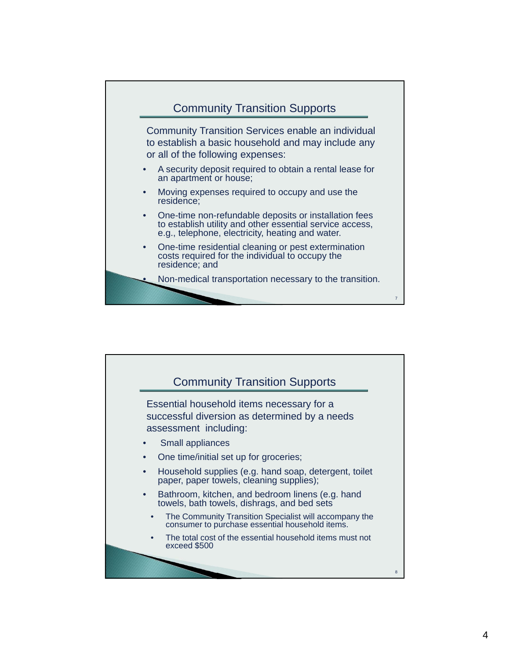

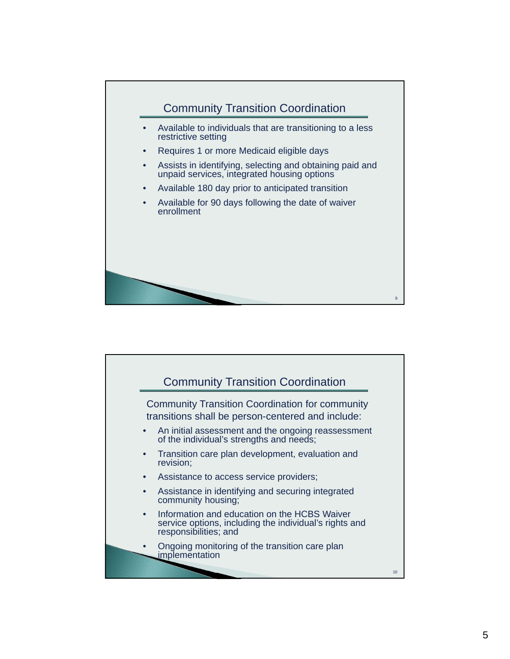